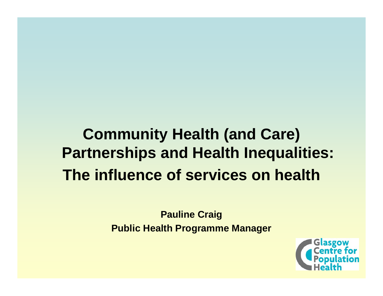#### **Community Health (and Care) Partnerships and Health Inequalities: The influence of services on health**

**Pauline Craig Public Health Programme Manager**

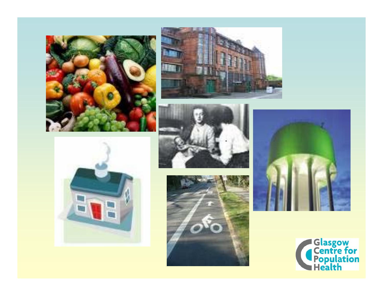









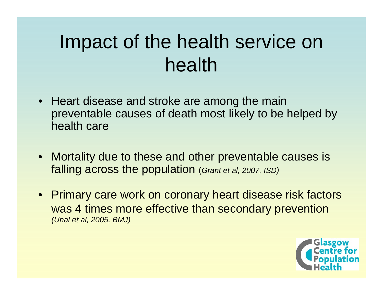#### Impact of the health service on health

- Heart disease and stroke are among the main preventable causes of death most likely to be helped by health care
- Mortality due to these and other preventable causes is falling across the population (*Grant et al, 2007, ISD)*
- Primary care work on coronary heart disease risk factors was 4 times more effective than secondary prevention *(Unal et al, 2005, BMJ)*

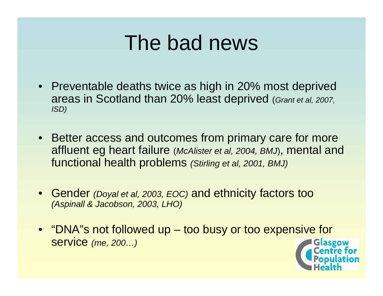#### The bad news

- Preventable deaths twice as high in 20% most deprived areas in Scotland than 20% least deprived (*Grant et al, 2007, ISD)*
- Better access and outcomes from primary care for more affluent eg heart failure (*McAlister et al, 2004, BMJ*), mental and functional health problems *(Stirling et al, 2001, BMJ)*
- Gender *(Doyal et al, 2003, EOC)* and ethnicity factors too *(Aspinall & Jacobson, 2003, LHO)*
- "DNA"s not followed up too busy or too expensive for service *(me, 200…)*

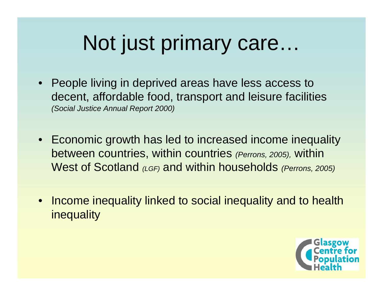## Not just primary care…

- People living in deprived areas have less access to decent, affordable food, transport and leisure facilities *(Social Justice Annual Report 2000)*
- Economic growth has led to increased income inequality between countries, within countries *(Perrons, 2005),* within West of Scotland *(LGF)* and within households *(Perrons, 2005)*
- Income inequality linked to social inequality and to health inequality

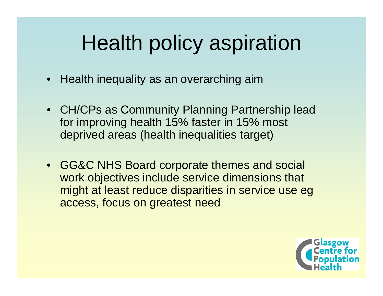## Health policy aspiration

- Health inequality as an overarching aim
- CH/CPs as Community Planning Partnership lead for improving health 15% faster in 15% most deprived areas (health inequalities target)
- GG&C NHS Board corporate themes and social work objectives include service dimensions that might at least reduce disparities in service use eg access, focus on greatest need

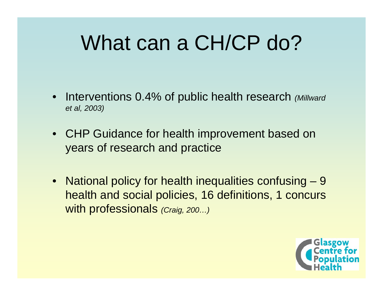### What can a CH/CP do?

- Interventions 0.4% of public health research *(Millward et al, 2003)*
- CHP Guidance for health improvement based on years of research and practice
- National policy for health inequalities confusing 9 health and social policies, 16 definitions, 1 concurs with professionals *(Craig, 200…)*

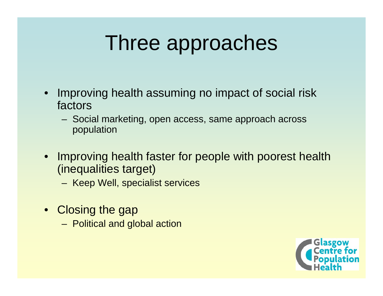### Three approaches

- • Improving health assuming no impact of social risk factors
	- Social marketing, open access, same approach across population
- $\bullet$  Improving health faster for people with poorest health (inequalities target)
	- Keep Well, specialist services
- Closing the gap
	- Political and global action

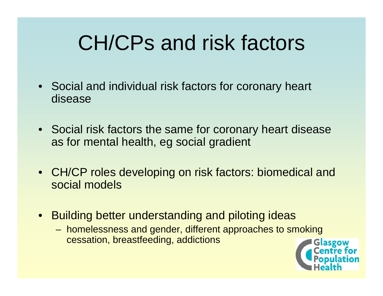### CH/CPs and risk factors

- Social and individual risk factors for coronary heart disease
- Social risk factors the same for coronary heart disease as for mental health, eg social gradient
- CH/CP roles developing on risk factors: biomedical and social models
- $\bullet$  Building better understanding and piloting ideas
	- homelessness and gender, different approaches to smoking cessation, breastfeeding, addictions

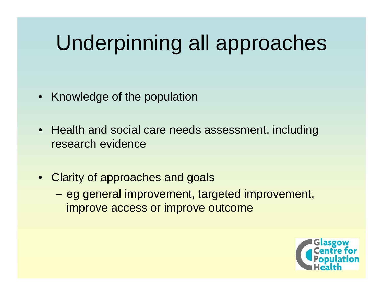# Underpinning all approaches

- Knowledge of the population
- Health and social care needs assessment, including research evidence
- Clarity of approaches and goals
	- – eg general improvement, targeted improvement, improve access or improve outcome

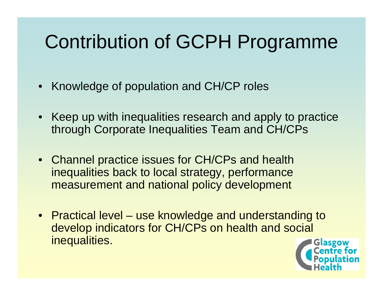#### Contribution of GCPH Programme

- Knowledge of population and CH/CP roles
- Keep up with inequalities research and apply to practice through Corporate Inequalities Team and CH/CPs
- Channel practice issues for CH/CPs and health inequalities back to local strategy, performance measurement and national policy development
- Practical level use knowledge and understanding to develop indicators for CH/CPs on health and social inequalities.

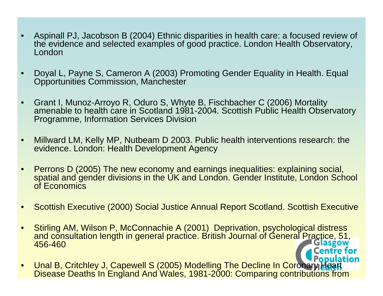- • Aspinall PJ, Jacobson B (2004) Ethnic disparities in health care: a focused review of the evidence and selected examples of good practice. London Health Observatory, London
- • Doyal L, Payne S, Cameron A (2003) Promoting Gender Equality in Health. Equal Opportunities Commission, Manchester
- • Grant I, Munoz-Arroyo R, Oduro S, Whyte B, Fischbacher C (2006) Mortality amenable to health care in Scotland 1981-2004. Scottish Public Health Observatory Programme, Information Services Division
- • Millward LM, Kelly MP, Nutbeam D 2003. Public health interventions research: the evidence. London: Health Development Agency
- $\bullet$  Perrons D (2005) The new economy and earnings inequalities: explaining social, spatial and gender divisions in the UK and London. Gender Institute, London School of Economics
- •Scottish Executive (2000) Social Justice Annual Report Scotland. Scottish Executive
- • Stirling AM, Wilson P, McConnachie A (2001) Deprivation, psychological distress and consultation length in general practice. British Journal of General Practice, 51, 456-460
- **Population**  Unal B, Critchley J, Capewell S (2005) Modelling The Decline In Coronary Heart  $\bullet$ Disease Deaths In En gland And Wales, 1981-2000: Comparin g contributions from